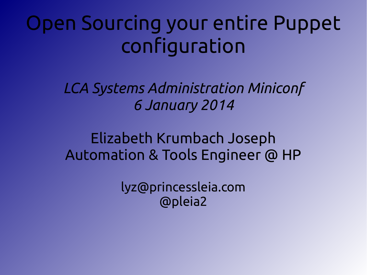## Open Sourcing your entire Puppet configuration

*LCA Systems Administration Miniconf 6 January 2014*

Elizabeth Krumbach Joseph Automation & Tools Engineer @ HP

> lyz@princessleia.com @pleia2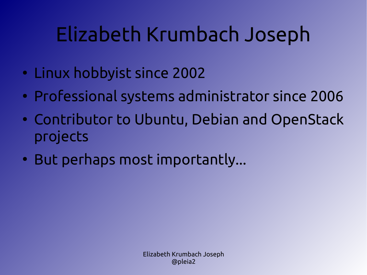## Elizabeth Krumbach Joseph

- Linux hobbyist since 2002
- Professional systems administrator since 2006
- Contributor to Ubuntu, Debian and OpenStack projects
- But perhaps most importantly...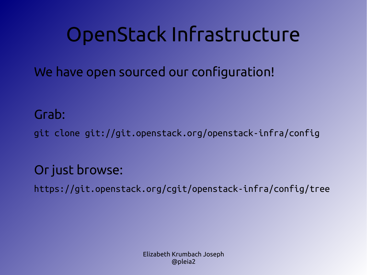## OpenStack Infrastructure

We have open sourced our configuration!

Grab:

git clone git://git.openstack.org/openstack-infra/config

#### Or just browse:

https://git.openstack.org/cgit/openstack-infra/config/tree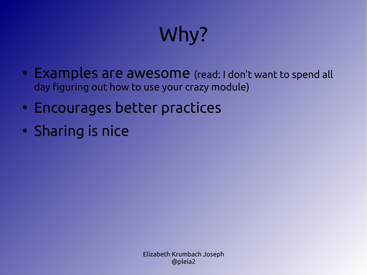# Why?

- Examples are awesome (read: I don't want to spend all day figuring out how to use your crazy module)
- Encourages better practices
- Sharing is nice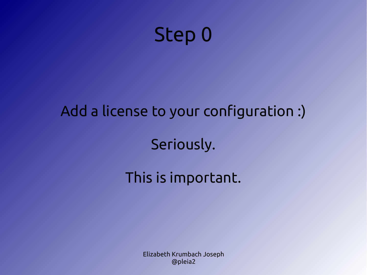

# Add a license to your configuration :) Seriously.

### This is important.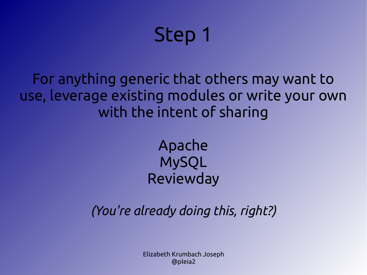## Step 1

For anything generic that others may want to use, leverage existing modules or write your own with the intent of sharing

> Apache MySQL Reviewday

*(You're already doing this, right?)*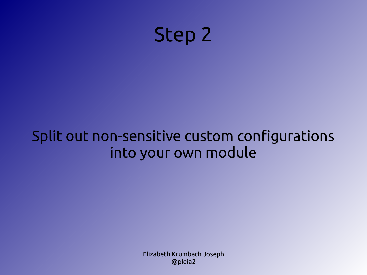

## Split out non-sensitive custom configurations into your own module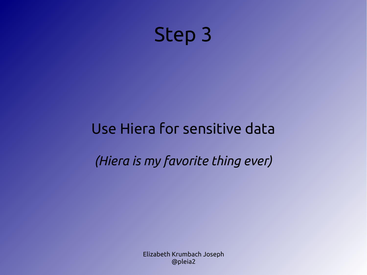

## Use Hiera for sensitive data

*(Hiera is my favorite thing ever)*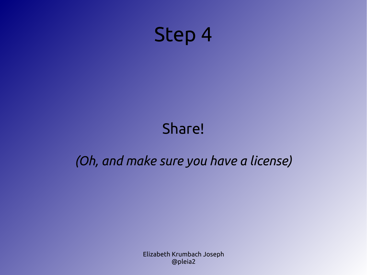

#### Share!

#### *(Oh, and make sure you have a license)*